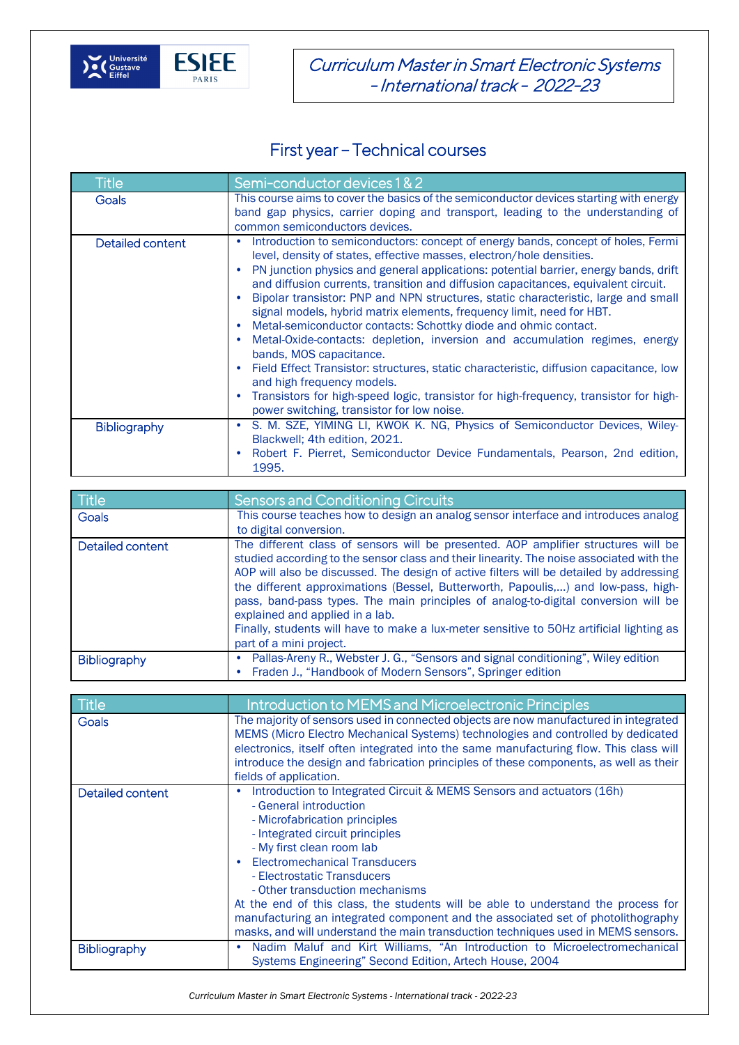

Curriculum Master in Smart Electronic Systems - International track - 2022-23

## First year – Technical courses

| <b>Title</b>        | Semi-conductor devices 1 & 2                                                                                                                                                                                                                                                                                                                                                                                                                                                                                                                                                                                                                                                                                                                                                                                                                                                                                                                                                             |
|---------------------|------------------------------------------------------------------------------------------------------------------------------------------------------------------------------------------------------------------------------------------------------------------------------------------------------------------------------------------------------------------------------------------------------------------------------------------------------------------------------------------------------------------------------------------------------------------------------------------------------------------------------------------------------------------------------------------------------------------------------------------------------------------------------------------------------------------------------------------------------------------------------------------------------------------------------------------------------------------------------------------|
| Goals               | This course aims to cover the basics of the semiconductor devices starting with energy<br>band gap physics, carrier doping and transport, leading to the understanding of<br>common semiconductors devices.                                                                                                                                                                                                                                                                                                                                                                                                                                                                                                                                                                                                                                                                                                                                                                              |
| Detailed content    | Introduction to semiconductors: concept of energy bands, concept of holes, Fermi<br>$\bullet$<br>level, density of states, effective masses, electron/hole densities.<br>PN junction physics and general applications: potential barrier, energy bands, drift<br>and diffusion currents, transition and diffusion capacitances, equivalent circuit.<br>Bipolar transistor: PNP and NPN structures, static characteristic, large and small<br>signal models, hybrid matrix elements, frequency limit, need for HBT.<br>Metal-semiconductor contacts: Schottky diode and ohmic contact.<br>Metal-Oxide-contacts: depletion, inversion and accumulation regimes, energy<br>$\bullet$<br>bands, MOS capacitance.<br>Field Effect Transistor: structures, static characteristic, diffusion capacitance, low<br>and high frequency models.<br>Transistors for high-speed logic, transistor for high-frequency, transistor for high-<br>$\bullet$<br>power switching, transistor for low noise. |
| <b>Bibliography</b> | S. M. SZE, YIMING LI, KWOK K. NG, Physics of Semiconductor Devices, Wiley-<br>Blackwell; 4th edition, 2021.<br>Robert F. Pierret, Semiconductor Device Fundamentals, Pearson, 2nd edition,<br>1995.                                                                                                                                                                                                                                                                                                                                                                                                                                                                                                                                                                                                                                                                                                                                                                                      |

| Title            | <b>Sensors and Conditioning Circuits</b>                                                                                                                                                                                                                                                                                                                                                                                                                                                                                                                                                                       |
|------------------|----------------------------------------------------------------------------------------------------------------------------------------------------------------------------------------------------------------------------------------------------------------------------------------------------------------------------------------------------------------------------------------------------------------------------------------------------------------------------------------------------------------------------------------------------------------------------------------------------------------|
| <b>Goals</b>     | This course teaches how to design an analog sensor interface and introduces analog                                                                                                                                                                                                                                                                                                                                                                                                                                                                                                                             |
|                  | to digital conversion.                                                                                                                                                                                                                                                                                                                                                                                                                                                                                                                                                                                         |
| Detailed content | The different class of sensors will be presented. AOP amplifier structures will be<br>studied according to the sensor class and their linearity. The noise associated with the<br>AOP will also be discussed. The design of active filters will be detailed by addressing<br>the different approximations (Bessel, Butterworth, Papoulis,) and low-pass, high-<br>pass, band-pass types. The main principles of analog-to-digital conversion will be<br>explained and applied in a lab.<br>Finally, students will have to make a lux-meter sensitive to 50Hz artificial lighting as<br>part of a mini project. |
| Bibliography     | Pallas-Areny R., Webster J. G., "Sensors and signal conditioning", Wiley edition<br>Fraden J., "Handbook of Modern Sensors", Springer edition                                                                                                                                                                                                                                                                                                                                                                                                                                                                  |

| Title            | Introduction to MEMS and Microelectronic Principles                                                                                                                                                                                                                                                                                                                                                                                                                                                                                                                      |
|------------------|--------------------------------------------------------------------------------------------------------------------------------------------------------------------------------------------------------------------------------------------------------------------------------------------------------------------------------------------------------------------------------------------------------------------------------------------------------------------------------------------------------------------------------------------------------------------------|
| <b>Goals</b>     | The majority of sensors used in connected objects are now manufactured in integrated<br>MEMS (Micro Electro Mechanical Systems) technologies and controlled by dedicated<br>electronics, itself often integrated into the same manufacturing flow. This class will<br>introduce the design and fabrication principles of these components, as well as their<br>fields of application.                                                                                                                                                                                    |
| Detailed content | Introduction to Integrated Circuit & MEMS Sensors and actuators (16h)<br>- General introduction<br>- Microfabrication principles<br>- Integrated circuit principles<br>- My first clean room lab<br><b>Electromechanical Transducers</b><br>- Electrostatic Transducers<br>- Other transduction mechanisms<br>At the end of this class, the students will be able to understand the process for<br>manufacturing an integrated component and the associated set of photolithography<br>masks, and will understand the main transduction techniques used in MEMS sensors. |
| Bibliography     | Nadim Maluf and Kirt Williams, "An Introduction to Microelectromechanical<br>Systems Engineering" Second Edition, Artech House, 2004                                                                                                                                                                                                                                                                                                                                                                                                                                     |

*Curriculum Master in Smart Electronic Systems - International track - 2022-23*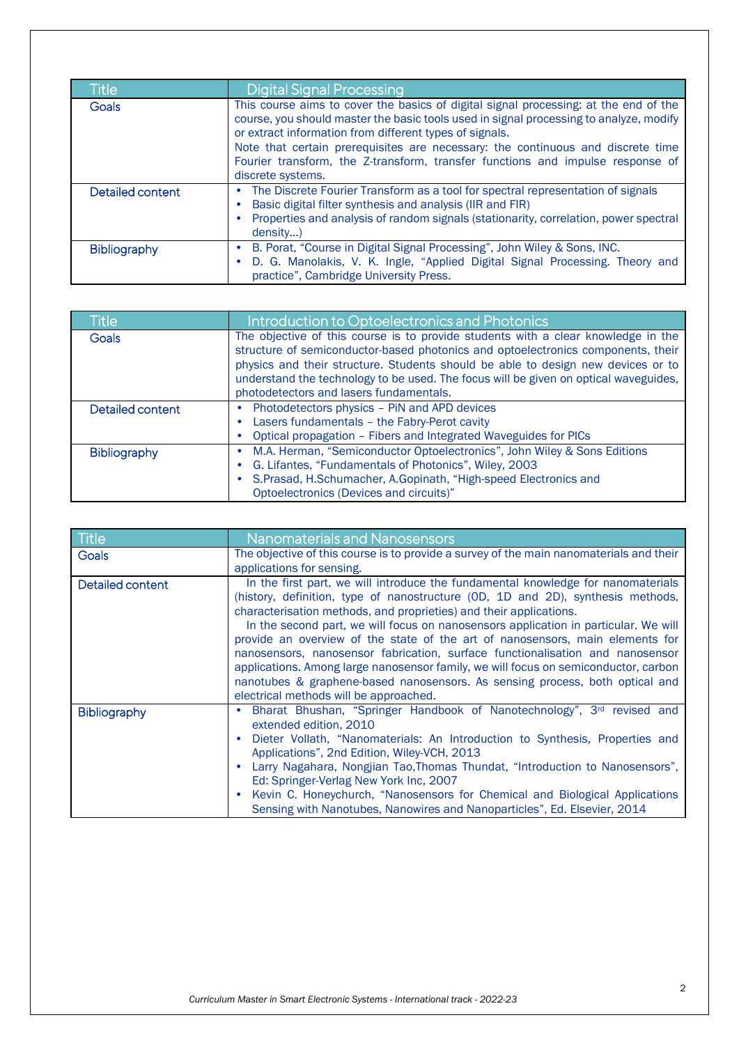| Title               | <b>Digital Signal Processing</b>                                                                                                                                                                                                                                                                                                                                                                                                    |
|---------------------|-------------------------------------------------------------------------------------------------------------------------------------------------------------------------------------------------------------------------------------------------------------------------------------------------------------------------------------------------------------------------------------------------------------------------------------|
| Goals               | This course aims to cover the basics of digital signal processing: at the end of the<br>course, you should master the basic tools used in signal processing to analyze, modify<br>or extract information from different types of signals.<br>Note that certain prerequisites are necessary: the continuous and discrete time<br>Fourier transform, the Z-transform, transfer functions and impulse response of<br>discrete systems. |
| Detailed content    | The Discrete Fourier Transform as a tool for spectral representation of signals<br>Basic digital filter synthesis and analysis (IIR and FIR)<br>Properties and analysis of random signals (stationarity, correlation, power spectral<br>density)                                                                                                                                                                                    |
| <b>Bibliography</b> | B. Porat, "Course in Digital Signal Processing", John Wiley & Sons, INC.<br>۰<br>D. G. Manolakis, V. K. Ingle, "Applied Digital Signal Processing. Theory and<br>practice", Cambridge University Press.                                                                                                                                                                                                                             |

| <b>Title</b>        | Introduction to Optoelectronics and Photonics                                                                                                                                                                                                                                                                                                                                                |
|---------------------|----------------------------------------------------------------------------------------------------------------------------------------------------------------------------------------------------------------------------------------------------------------------------------------------------------------------------------------------------------------------------------------------|
| Goals               | The objective of this course is to provide students with a clear knowledge in the<br>structure of semiconductor-based photonics and optoelectronics components, their<br>physics and their structure. Students should be able to design new devices or to<br>understand the technology to be used. The focus will be given on optical waveguides,<br>photodetectors and lasers fundamentals. |
| Detailed content    | Photodetectors physics - PiN and APD devices<br>Lasers fundamentals - the Fabry-Perot cavity<br>Optical propagation - Fibers and Integrated Waveguides for PICs                                                                                                                                                                                                                              |
| <b>Bibliography</b> | M.A. Herman, "Semiconductor Optoelectronics", John Wiley & Sons Editions<br>G. Lifantes, "Fundamentals of Photonics", Wiley, 2003<br>S.Prasad, H.Schumacher, A.Gopinath, "High-speed Electronics and<br>Optoelectronics (Devices and circuits)"                                                                                                                                              |

| Title               | <b>Nanomaterials and Nanosensors</b>                                                                                                                                                                                                                                                                                                                                                                                                                                                                                                                                                                                                                                                                                |
|---------------------|---------------------------------------------------------------------------------------------------------------------------------------------------------------------------------------------------------------------------------------------------------------------------------------------------------------------------------------------------------------------------------------------------------------------------------------------------------------------------------------------------------------------------------------------------------------------------------------------------------------------------------------------------------------------------------------------------------------------|
| Goals               | The objective of this course is to provide a survey of the main nanomaterials and their                                                                                                                                                                                                                                                                                                                                                                                                                                                                                                                                                                                                                             |
|                     | applications for sensing.                                                                                                                                                                                                                                                                                                                                                                                                                                                                                                                                                                                                                                                                                           |
| Detailed content    | In the first part, we will introduce the fundamental knowledge for nanomaterials<br>(history, definition, type of nanostructure (OD, 1D and 2D), synthesis methods,<br>characterisation methods, and proprieties) and their applications.<br>In the second part, we will focus on nanosensors application in particular. We will<br>provide an overview of the state of the art of nanosensors, main elements for<br>nanosensors, nanosensor fabrication, surface functionalisation and nanosensor<br>applications. Among large nanosensor family, we will focus on semiconductor, carbon<br>nanotubes & graphene-based nanosensors. As sensing process, both optical and<br>electrical methods will be approached. |
| <b>Bibliography</b> | Bharat Bhushan, "Springer Handbook of Nanotechnology", 3rd revised and<br>٠<br>extended edition. 2010<br>Dieter Vollath, "Nanomaterials: An Introduction to Synthesis, Properties and<br>Applications", 2nd Edition, Wiley-VCH, 2013<br>Larry Nagahara, Nongjian Tao, Thomas Thundat, "Introduction to Nanosensors",<br>Ed: Springer-Verlag New York Inc, 2007<br>Kevin C. Honeychurch, "Nanosensors for Chemical and Biological Applications<br>Sensing with Nanotubes, Nanowires and Nanoparticles", Ed. Elsevier, 2014                                                                                                                                                                                           |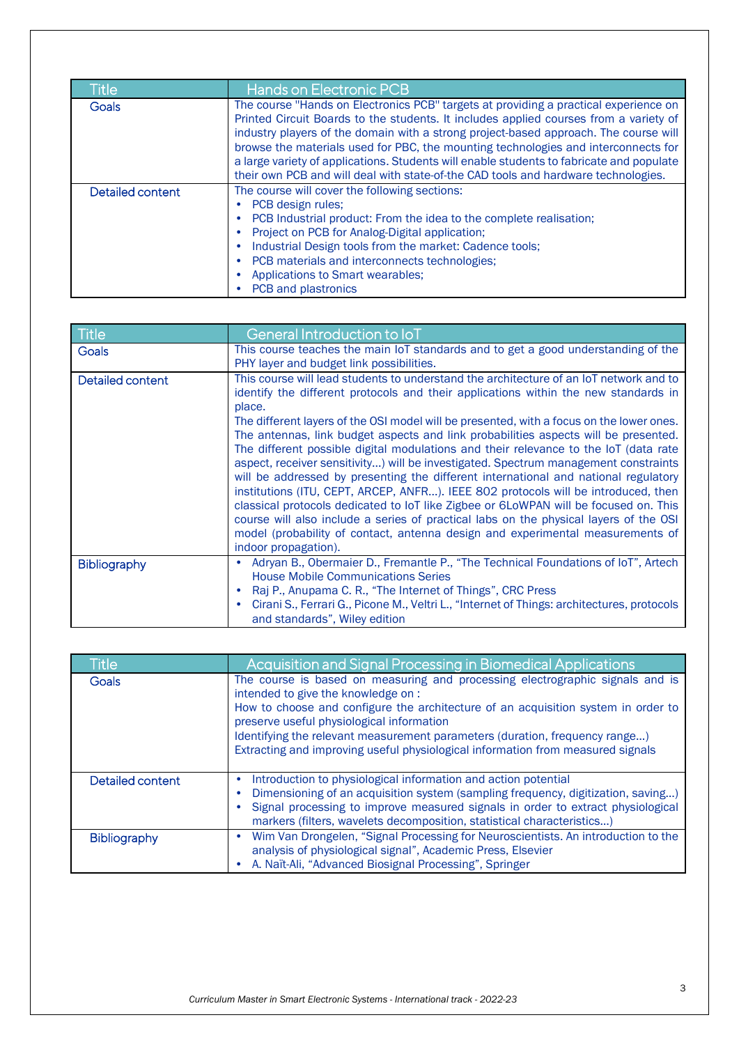| <b>Title</b>     | <b>Hands on Electronic PCB</b>                                                                                                                                                                                                                                                                                                                                                                                                                                                                                                                |
|------------------|-----------------------------------------------------------------------------------------------------------------------------------------------------------------------------------------------------------------------------------------------------------------------------------------------------------------------------------------------------------------------------------------------------------------------------------------------------------------------------------------------------------------------------------------------|
| Goals            | The course "Hands on Electronics PCB" targets at providing a practical experience on<br>Printed Circuit Boards to the students. It includes applied courses from a variety of<br>industry players of the domain with a strong project-based approach. The course will<br>browse the materials used for PBC, the mounting technologies and interconnects for<br>a large variety of applications. Students will enable students to fabricate and populate<br>their own PCB and will deal with state-of-the CAD tools and hardware technologies. |
| Detailed content | The course will cover the following sections:<br>PCB design rules;<br>PCB Industrial product: From the idea to the complete realisation;<br>Project on PCB for Analog-Digital application;<br>Industrial Design tools from the market: Cadence tools;<br>٠<br>PCB materials and interconnects technologies;<br>Applications to Smart wearables;<br>PCB and plastronics                                                                                                                                                                        |

| <b>Title</b>     | General Introduction to IoT                                                                     |
|------------------|-------------------------------------------------------------------------------------------------|
| <b>Goals</b>     | This course teaches the main IoT standards and to get a good understanding of the               |
|                  | PHY layer and budget link possibilities.                                                        |
| Detailed content | This course will lead students to understand the architecture of an IoT network and to          |
|                  | identify the different protocols and their applications within the new standards in<br>place.   |
|                  | The different layers of the OSI model will be presented, with a focus on the lower ones.        |
|                  | The antennas, link budget aspects and link probabilities aspects will be presented.             |
|                  | The different possible digital modulations and their relevance to the IoT (data rate            |
|                  | aspect, receiver sensitivity) will be investigated. Spectrum management constraints             |
|                  | will be addressed by presenting the different international and national regulatory             |
|                  | institutions (ITU, CEPT, ARCEP, ANFR). IEEE 802 protocols will be introduced, then              |
|                  | classical protocols dedicated to IoT like Zigbee or 6LoWPAN will be focused on. This            |
|                  | course will also include a series of practical labs on the physical layers of the OSI           |
|                  | model (probability of contact, antenna design and experimental measurements of                  |
|                  | indoor propagation).                                                                            |
| Bibliography     | Adryan B., Obermaier D., Fremantle P., "The Technical Foundations of IoT", Artech<br>٠          |
|                  | <b>House Mobile Communications Series</b>                                                       |
|                  | Raj P., Anupama C. R., "The Internet of Things", CRC Press                                      |
|                  | Cirani S., Ferrari G., Picone M., Veltri L., "Internet of Things: architectures, protocols<br>٠ |
|                  | and standards", Wiley edition                                                                   |

| <b>Title</b>        | Acquisition and Signal Processing in Biomedical Applications                                                                                                                                                                                                                                                    |
|---------------------|-----------------------------------------------------------------------------------------------------------------------------------------------------------------------------------------------------------------------------------------------------------------------------------------------------------------|
| <b>Goals</b>        | The course is based on measuring and processing electrographic signals and is<br>intended to give the knowledge on :<br>How to choose and configure the architecture of an acquisition system in order to<br>preserve useful physiological information                                                          |
|                     | Identifying the relevant measurement parameters (duration, frequency range)<br>Extracting and improving useful physiological information from measured signals                                                                                                                                                  |
| Detailed content    | Introduction to physiological information and action potential<br>Dimensioning of an acquisition system (sampling frequency, digitization, saving)<br>Signal processing to improve measured signals in order to extract physiological<br>markers (filters, wavelets decomposition, statistical characteristics) |
| <b>Bibliography</b> | Wim Van Drongelen, "Signal Processing for Neuroscientists. An introduction to the<br>analysis of physiological signal", Academic Press, Elsevier<br>A. Naït-Ali, "Advanced Biosignal Processing", Springer                                                                                                      |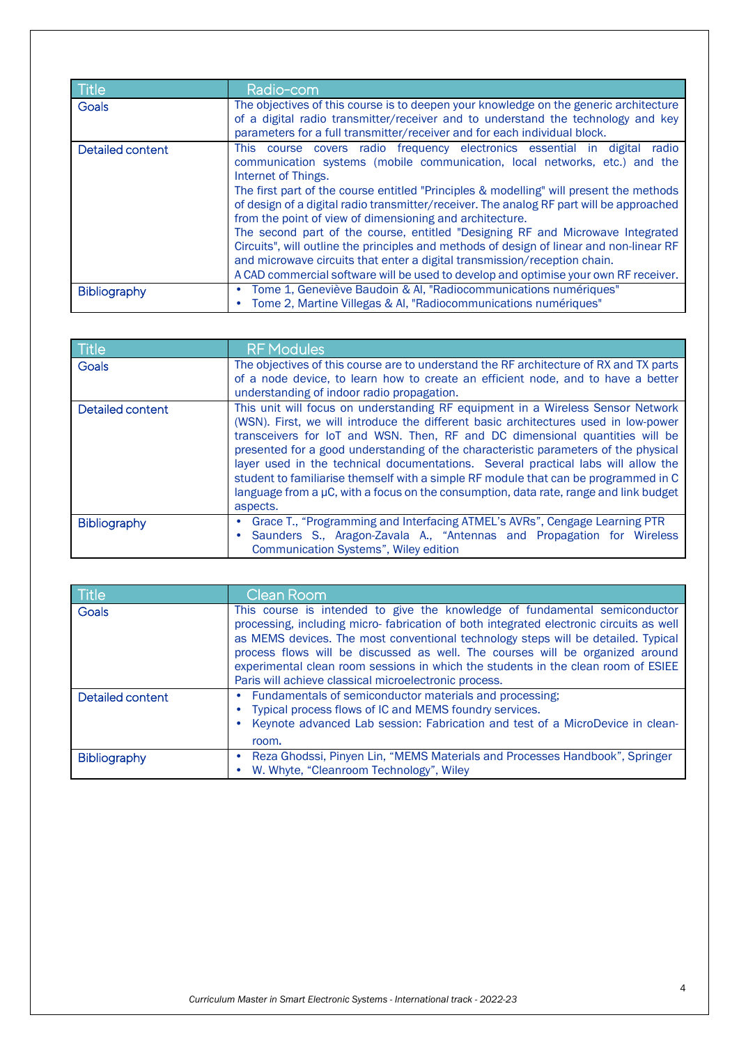| <b>Title</b>     | Radio-com                                                                                                                                                                                                                                       |
|------------------|-------------------------------------------------------------------------------------------------------------------------------------------------------------------------------------------------------------------------------------------------|
| Goals            | The objectives of this course is to deepen your knowledge on the generic architecture<br>of a digital radio transmitter/receiver and to understand the technology and key                                                                       |
|                  | parameters for a full transmitter/receiver and for each individual block.                                                                                                                                                                       |
| Detailed content | This course covers radio frequency electronics essential in digital<br>radio<br>communication systems (mobile communication, local networks, etc.) and the<br>Internet of Things.                                                               |
|                  | The first part of the course entitled "Principles & modelling" will present the methods<br>of design of a digital radio transmitter/receiver. The analog RF part will be approached<br>from the point of view of dimensioning and architecture. |
|                  | The second part of the course, entitled "Designing RF and Microwave Integrated                                                                                                                                                                  |
|                  | Circuits", will outline the principles and methods of design of linear and non-linear RF                                                                                                                                                        |
|                  | and microwave circuits that enter a digital transmission/reception chain.                                                                                                                                                                       |
|                  | A CAD commercial software will be used to develop and optimise your own RF receiver.                                                                                                                                                            |
| Bibliography     | Tome 1, Geneviève Baudoin & Al, "Radiocommunications numériques"<br>Tome 2, Martine Villegas & AI, "Radiocommunications numériques"                                                                                                             |
|                  |                                                                                                                                                                                                                                                 |

| Title               | <b>RF Modules</b>                                                                                                                                                                                                                                                                                                                                                                                                                                                                                                                                                                                                              |
|---------------------|--------------------------------------------------------------------------------------------------------------------------------------------------------------------------------------------------------------------------------------------------------------------------------------------------------------------------------------------------------------------------------------------------------------------------------------------------------------------------------------------------------------------------------------------------------------------------------------------------------------------------------|
| <b>Goals</b>        | The objectives of this course are to understand the RF architecture of RX and TX parts<br>of a node device, to learn how to create an efficient node, and to have a better                                                                                                                                                                                                                                                                                                                                                                                                                                                     |
|                     | understanding of indoor radio propagation.                                                                                                                                                                                                                                                                                                                                                                                                                                                                                                                                                                                     |
| Detailed content    | This unit will focus on understanding RF equipment in a Wireless Sensor Network<br>(WSN). First, we will introduce the different basic architectures used in low-power<br>transceivers for IoT and WSN. Then, RF and DC dimensional quantities will be<br>presented for a good understanding of the characteristic parameters of the physical<br>layer used in the technical documentations. Several practical labs will allow the<br>student to familiarise themself with a simple RF module that can be programmed in C<br>language from a µC, with a focus on the consumption, data rate, range and link budget<br>aspects. |
| <b>Bibliography</b> | Grace T., "Programming and Interfacing ATMEL's AVRs", Cengage Learning PTR<br>٠<br>Saunders S., Aragon-Zavala A., "Antennas and Propagation for Wireless<br>Communication Systems", Wiley edition                                                                                                                                                                                                                                                                                                                                                                                                                              |

| Title               | Clean Room                                                                                                                                                                                                                                                                                                                                                                                                                                                                               |
|---------------------|------------------------------------------------------------------------------------------------------------------------------------------------------------------------------------------------------------------------------------------------------------------------------------------------------------------------------------------------------------------------------------------------------------------------------------------------------------------------------------------|
| <b>Goals</b>        | This course is intended to give the knowledge of fundamental semiconductor<br>processing, including micro-fabrication of both integrated electronic circuits as well<br>as MEMS devices. The most conventional technology steps will be detailed. Typical<br>process flows will be discussed as well. The courses will be organized around<br>experimental clean room sessions in which the students in the clean room of ESIEE<br>Paris will achieve classical microelectronic process. |
| Detailed content    | Fundamentals of semiconductor materials and processing;<br>Typical process flows of IC and MEMS foundry services.<br>Keynote advanced Lab session: Fabrication and test of a MicroDevice in clean-<br>room.                                                                                                                                                                                                                                                                              |
| <b>Bibliography</b> | Reza Ghodssi, Pinyen Lin, "MEMS Materials and Processes Handbook", Springer<br>W. Whyte, "Cleanroom Technology", Wiley                                                                                                                                                                                                                                                                                                                                                                   |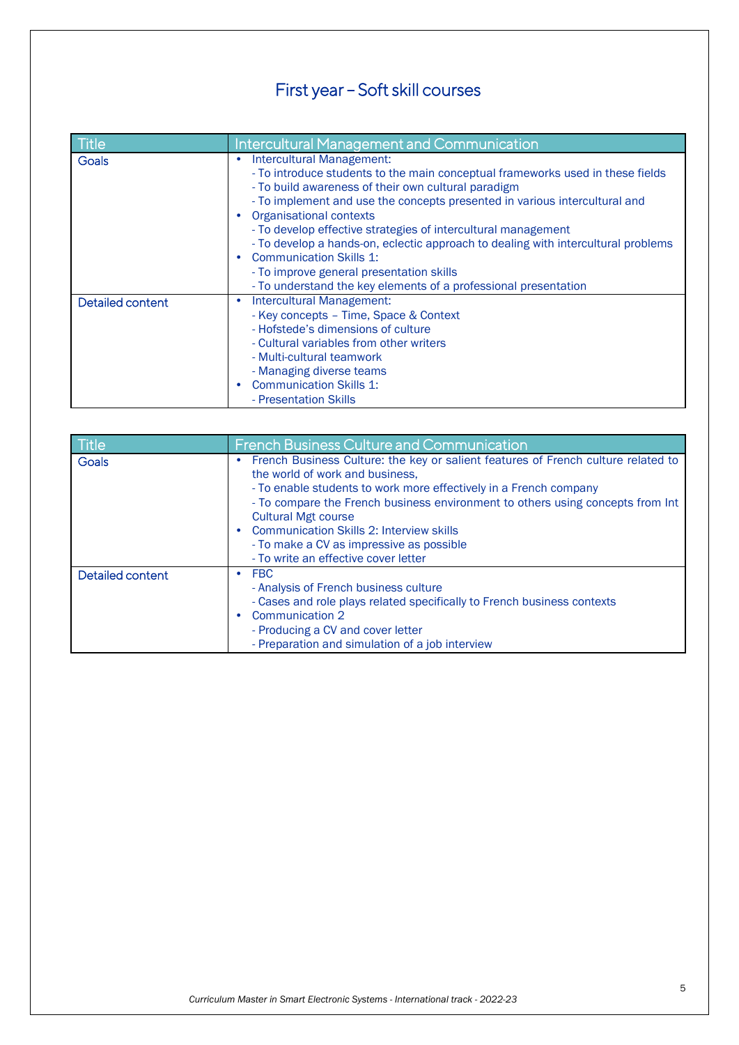## First year – Soft skill courses

| Title            | <b>Intercultural Management and Communication</b>                                                                                                                                                                                                                                                                                                                                                                                                                                                                                                                                                           |
|------------------|-------------------------------------------------------------------------------------------------------------------------------------------------------------------------------------------------------------------------------------------------------------------------------------------------------------------------------------------------------------------------------------------------------------------------------------------------------------------------------------------------------------------------------------------------------------------------------------------------------------|
| Goals            | Intercultural Management:<br>٠<br>- To introduce students to the main conceptual frameworks used in these fields<br>- To build awareness of their own cultural paradigm<br>- To implement and use the concepts presented in various intercultural and<br><b>Organisational contexts</b><br>- To develop effective strategies of intercultural management<br>- To develop a hands-on, eclectic approach to dealing with intercultural problems<br><b>Communication Skills 1:</b><br>$\bullet$<br>- To improve general presentation skills<br>- To understand the key elements of a professional presentation |
| Detailed content | Intercultural Management:<br>٠<br>- Key concepts - Time, Space & Context<br>- Hofstede's dimensions of culture<br>- Cultural variables from other writers<br>- Multi-cultural teamwork<br>- Managing diverse teams<br><b>Communication Skills 1:</b><br>$\bullet$<br>- Presentation Skills                                                                                                                                                                                                                                                                                                                  |

| Title            | <b>French Business Culture and Communication</b>                                                                                                                                                                                                                                                                                                                                                                                                 |
|------------------|--------------------------------------------------------------------------------------------------------------------------------------------------------------------------------------------------------------------------------------------------------------------------------------------------------------------------------------------------------------------------------------------------------------------------------------------------|
| <b>Goals</b>     | French Business Culture: the key or salient features of French culture related to<br>the world of work and business,<br>- To enable students to work more effectively in a French company<br>- To compare the French business environment to others using concepts from Int<br><b>Cultural Mgt course</b><br><b>Communication Skills 2: Interview skills</b><br>- To make a CV as impressive as possible<br>- To write an effective cover letter |
| Detailed content | <b>FBC</b><br>$\bullet$<br>- Analysis of French business culture<br>- Cases and role plays related specifically to French business contexts<br>Communication 2<br>- Producing a CV and cover letter<br>- Preparation and simulation of a job interview                                                                                                                                                                                           |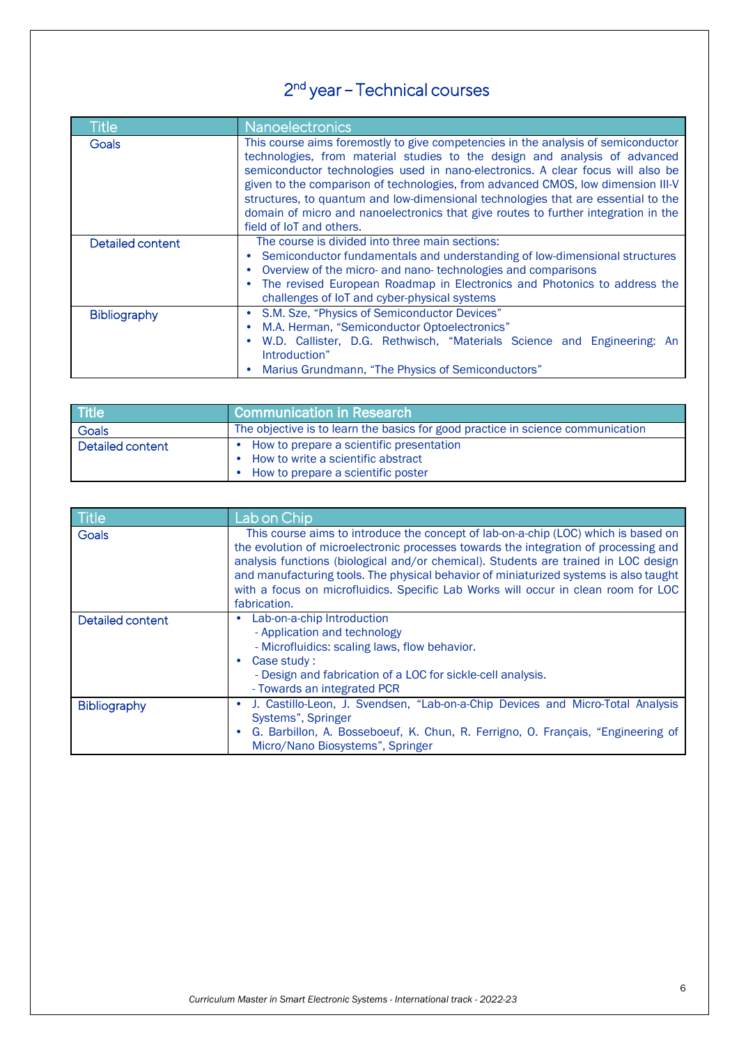## 2nd year – Technical courses

| Title            | Nanoelectronics                                                                                                                                                                                                                                                                                                                                                                                                                                                                                                                               |
|------------------|-----------------------------------------------------------------------------------------------------------------------------------------------------------------------------------------------------------------------------------------------------------------------------------------------------------------------------------------------------------------------------------------------------------------------------------------------------------------------------------------------------------------------------------------------|
| <b>Goals</b>     | This course aims foremostly to give competencies in the analysis of semiconductor<br>technologies, from material studies to the design and analysis of advanced<br>semiconductor technologies used in nano-electronics. A clear focus will also be<br>given to the comparison of technologies, from advanced CMOS, low dimension III-V<br>structures, to quantum and low-dimensional technologies that are essential to the<br>domain of micro and nanoelectronics that give routes to further integration in the<br>field of IoT and others. |
| Detailed content | The course is divided into three main sections:<br>Semiconductor fundamentals and understanding of low-dimensional structures<br>Overview of the micro- and nano-technologies and comparisons<br>The revised European Roadmap in Electronics and Photonics to address the<br>challenges of IoT and cyber-physical systems                                                                                                                                                                                                                     |
| Bibliography     | S.M. Sze, "Physics of Semiconductor Devices"<br>M.A. Herman, "Semiconductor Optoelectronics"<br>W.D. Callister, D.G. Rethwisch, "Materials Science and Engineering: An<br>Introduction"<br>Marius Grundmann, "The Physics of Semiconductors"                                                                                                                                                                                                                                                                                                  |

| Title            | <b>Communication in Research</b>                                                                                     |
|------------------|----------------------------------------------------------------------------------------------------------------------|
| Goals            | The objective is to learn the basics for good practice in science communication                                      |
| Detailed content | How to prepare a scientific presentation<br>How to write a scientific abstract<br>How to prepare a scientific poster |

| Title            | Lab on Chip                                                                                                                                                                                                                                                                                                                                                                                                                                                      |
|------------------|------------------------------------------------------------------------------------------------------------------------------------------------------------------------------------------------------------------------------------------------------------------------------------------------------------------------------------------------------------------------------------------------------------------------------------------------------------------|
| Goals            | This course aims to introduce the concept of lab-on-a-chip (LOC) which is based on<br>the evolution of microelectronic processes towards the integration of processing and<br>analysis functions (biological and/or chemical). Students are trained in LOC design<br>and manufacturing tools. The physical behavior of miniaturized systems is also taught<br>with a focus on microfluidics. Specific Lab Works will occur in clean room for LOC<br>fabrication. |
| Detailed content | Lab-on-a-chip Introduction<br>٠<br>- Application and technology<br>- Microfluidics: scaling laws, flow behavior.<br>Case study:<br>$\bullet$<br>- Design and fabrication of a LOC for sickle-cell analysis.<br>- Towards an integrated PCR                                                                                                                                                                                                                       |
| Bibliography     | J. Castillo-Leon, J. Svendsen, "Lab-on-a-Chip Devices and Micro-Total Analysis<br>$\bullet$<br>Systems", Springer<br>G. Barbillon, A. Bosseboeuf, K. Chun, R. Ferrigno, O. Français, "Engineering of<br>Micro/Nano Biosystems", Springer                                                                                                                                                                                                                         |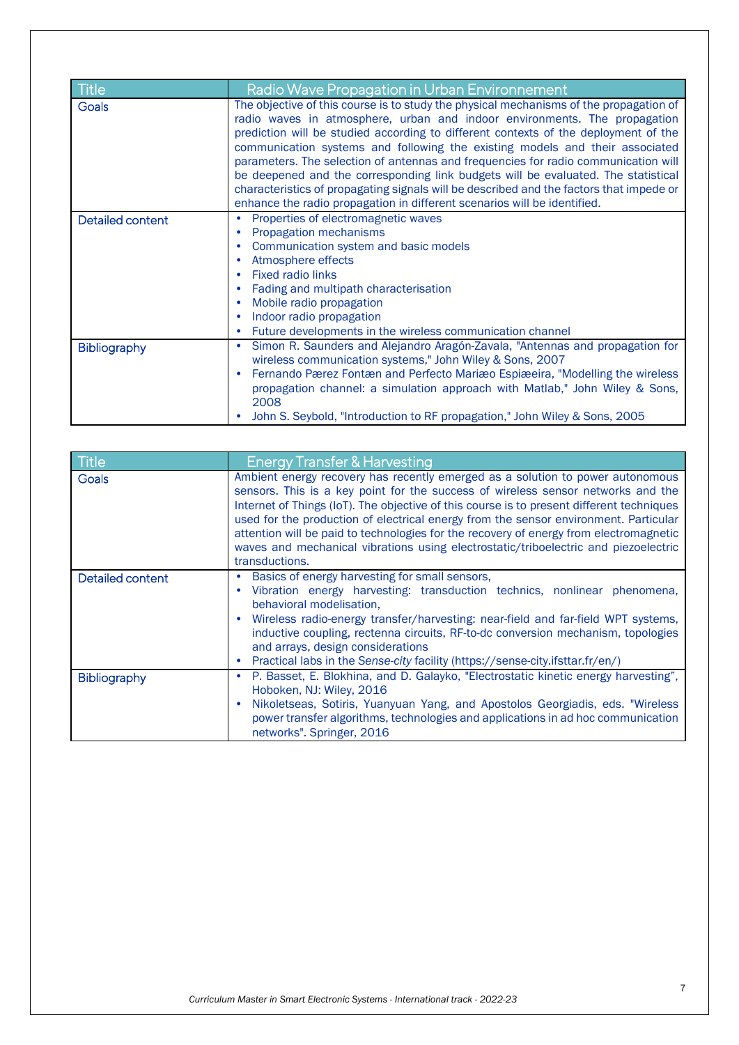| Title               | Radio Wave Propagation in Urban Environnement                                                                                                                                                                                                                                                                                                                                                                                                                                                                                                                                                                                                                                                |
|---------------------|----------------------------------------------------------------------------------------------------------------------------------------------------------------------------------------------------------------------------------------------------------------------------------------------------------------------------------------------------------------------------------------------------------------------------------------------------------------------------------------------------------------------------------------------------------------------------------------------------------------------------------------------------------------------------------------------|
| Goals               | The objective of this course is to study the physical mechanisms of the propagation of<br>radio waves in atmosphere, urban and indoor environments. The propagation<br>prediction will be studied according to different contexts of the deployment of the<br>communication systems and following the existing models and their associated<br>parameters. The selection of antennas and frequencies for radio communication will<br>be deepened and the corresponding link budgets will be evaluated. The statistical<br>characteristics of propagating signals will be described and the factors that impede or<br>enhance the radio propagation in different scenarios will be identified. |
| Detailed content    | Properties of electromagnetic waves<br>$\bullet$<br>Propagation mechanisms<br>$\bullet$<br>Communication system and basic models<br>٠<br>Atmosphere effects<br>$\bullet$<br><b>Fixed radio links</b><br>٠<br>Fading and multipath characterisation<br>$\bullet$<br>Mobile radio propagation<br>٠<br>Indoor radio propagation<br>$\bullet$<br>Future developments in the wireless communication channel<br>٠                                                                                                                                                                                                                                                                                  |
| <b>Bibliography</b> | Simon R. Saunders and Alejandro Aragón-Zavala, "Antennas and propagation for<br>٠<br>wireless communication systems," John Wiley & Sons, 2007<br>Fernando Pærez Fontæn and Perfecto Mariæo Espiæeira, "Modelling the wireless<br>propagation channel: a simulation approach with Matlab," John Wiley & Sons,<br>2008<br>John S. Seybold, "Introduction to RF propagation," John Wiley & Sons, 2005                                                                                                                                                                                                                                                                                           |

| Title            | <b>Energy Transfer &amp; Harvesting</b>                                                                                                                                                                                                                                                                                                                                                                                                                                                                                                                    |
|------------------|------------------------------------------------------------------------------------------------------------------------------------------------------------------------------------------------------------------------------------------------------------------------------------------------------------------------------------------------------------------------------------------------------------------------------------------------------------------------------------------------------------------------------------------------------------|
| Goals            | Ambient energy recovery has recently emerged as a solution to power autonomous<br>sensors. This is a key point for the success of wireless sensor networks and the<br>Internet of Things (IoT). The objective of this course is to present different techniques<br>used for the production of electrical energy from the sensor environment. Particular<br>attention will be paid to technologies for the recovery of energy from electromagnetic<br>waves and mechanical vibrations using electrostatic/triboelectric and piezoelectric<br>transductions. |
| Detailed content | Basics of energy harvesting for small sensors,<br>٠<br>Vibration energy harvesting: transduction technics, nonlinear phenomena,<br>behavioral modelisation.<br>Wireless radio-energy transfer/harvesting: near-field and far-field WPT systems,<br>inductive coupling, rectenna circuits, RF-to-dc conversion mechanism, topologies<br>and arrays, design considerations<br>Practical labs in the Sense-city facility (https://sense-city.ifsttar.fr/en/)<br>٠                                                                                             |
| Bibliography     | P. Basset, E. Blokhina, and D. Galayko, "Electrostatic kinetic energy harvesting",<br>$\bullet$<br>Hoboken, NJ: Wiley, 2016<br>Nikoletseas, Sotiris, Yuanyuan Yang, and Apostolos Georgiadis, eds. "Wireless<br>power transfer algorithms, technologies and applications in ad hoc communication<br>networks". Springer, 2016                                                                                                                                                                                                                              |